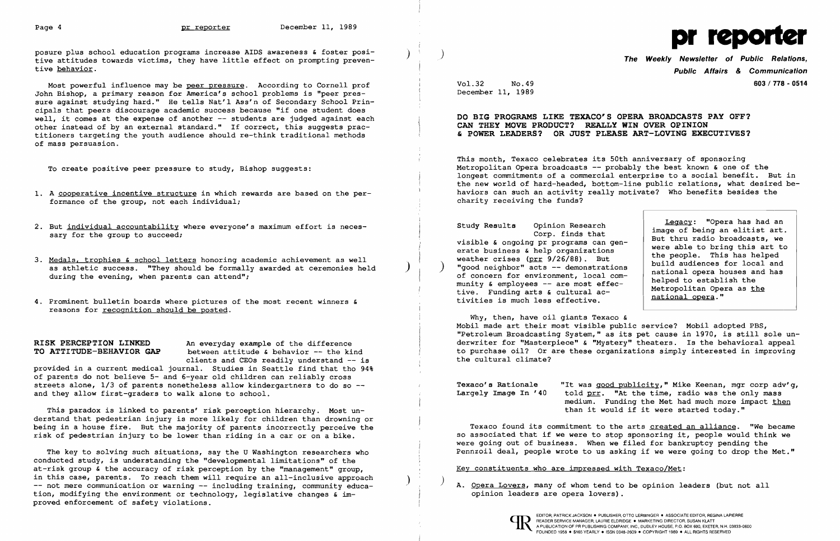posure plus school education programs increase AIDS awareness & foster positive attitudes towards victims, they have little effect on prompting preventive behavior.

Most powerful influence may be peer pressure. According to Cornell prof John Bishop, a primary reason for America's school problems is "peer pressure against studying hard." He tells Nat'l Ass'n of Secondary School Principals that peers discourage academic success because "if one student does well, it comes at the expense of another -- students are judged against each other instead of by an external standard." If correct, this suggests practitioners targeting the youth audience should re-think traditional methods of mass persuasion.

To create positive peer pressure to study, Bishop suggests:

- 1. A cooperative incentive structure in which rewards are based on the performance of the group, not each individual;
- 2. But individual accountability where everyone's maximum effort is necessary for the group to succeed;
- 3. Medals. trophies & school letters honoring academic achievement as well as athletic success. "They should be formally awarded at ceremonies held during the evening, when parents can attend";
- 4. Prominent bulletin boards where pictures of the most recent winners & reasons for recognition should be posted.

**RISK PERCEPTION LINKED** An everyday example of the difference<br>**TO ATTITUDE-BEHAVIOR GAP** between attitude & behavior -- the ki between attitude & behavior -- the kind clients and CEOs readily understand -- is **DO BIG PROGRAMS LIKE TEXACO'S OPERA BROADCASTS PAY OFF? CAN THEY MOVE PRODUCT? REALLY WIN OVER OPINION & POWER LEADERS? OR JUST PLEASE ART-LOVING EXECUTIVES?** 

provided in a current medical journal. Studies in Seattle find that tho 94% of parents do not believe 5- and 6-year old children can reliably cross streets alone, 1/3 of parents nonetheless allow kindergartners to do so -and they allow first-graders to walk alone to school.

This paradox is linked to parents' risk perception hierarchy. Most understand that pedestrian injury is more likely for children than drowning or being in a house fire. But the majority of parents incorrectly perceive the risk of pedestrian injury to be lower than riding in a car or on a bike.

Texaco's Rationale "It was good publicity," Mike Keenan, mgr corp adv'g,<br>Largely Image In '40 told prr. "At the time, radio was the only mass told prr. "At the time, radio was the only mass medium. Funding the Met had much more impact then than it would if it were started today."

Texaco found its commitment to the arts created an alliance. "We became so associated that if we were to stop sponsoring it, people would think we were going out of business. When we filed for bankruptcy pending the Pennzoil deal, people wrote to us asking if we were going to drop the Met."

The key to solving such situations, say the U Washington researchers who conducted study, is understanding the "developmental limitations" of the at-risk group & the accuracy of risk perception by the "management" group, in this case, parents. To reach them will require an all-inclusive approach -- not mere communication or warning -- including training, community education, modifying the environment or technology, legislative changes & improved enforcement of safety violations.

A. Opera Lovers, many of whom tend to be opinion leaders (but not all opinion leaders are opera lovers) .



) ) **The Weekly Newsletter of Public Relations, Public Affairs** *&* **Communication**  Vol.32 No.49 December 11, 1989 **603/778 - <sup>0514</sup>**

This month, Texaco celebrates its 50th anniversary of sponsoring Metropolitan Opera broadcasts -- probably the best known & one of the longest commitments of a commercial enterprise to a social benefit. But in the new world of hard-headed, bottom-line public relations, what desired behaviors can such an activity really motivate? Who benefits besides the charity receiving the funds?

Study Results Opinion Research Corp. finds that visible & ongoing pr programs can generate business & help organizations weather crises (prr 9/26/88). But "good neighbor" acts -- demonstrations of concern for environment, local community  $\&$  employees  $--$  are most effective. Funding arts & cultural activities is much less effective.

Legacy: "Opera has had an image of being an elitist art. But thru radio broadcasts, we were able to bring this art to the people. This has helped build audiences for local and national opera houses and has helped to establish the Metropolitan Opera as the national opera."

Why, then, have oil giants Texaco & Mobil made art their most visible public service? Mobil adopted PBS, "Petroleum Broadcasting System," as its pet cause in 1970, is still sole underwriter for "Masterpiece" & "Mystery" theaters. Is the behavioral appeal to purchase oil? Or are these organizations simply interested in improving the cultural climate?

Key constituents who are impressed with Texaco/Met: